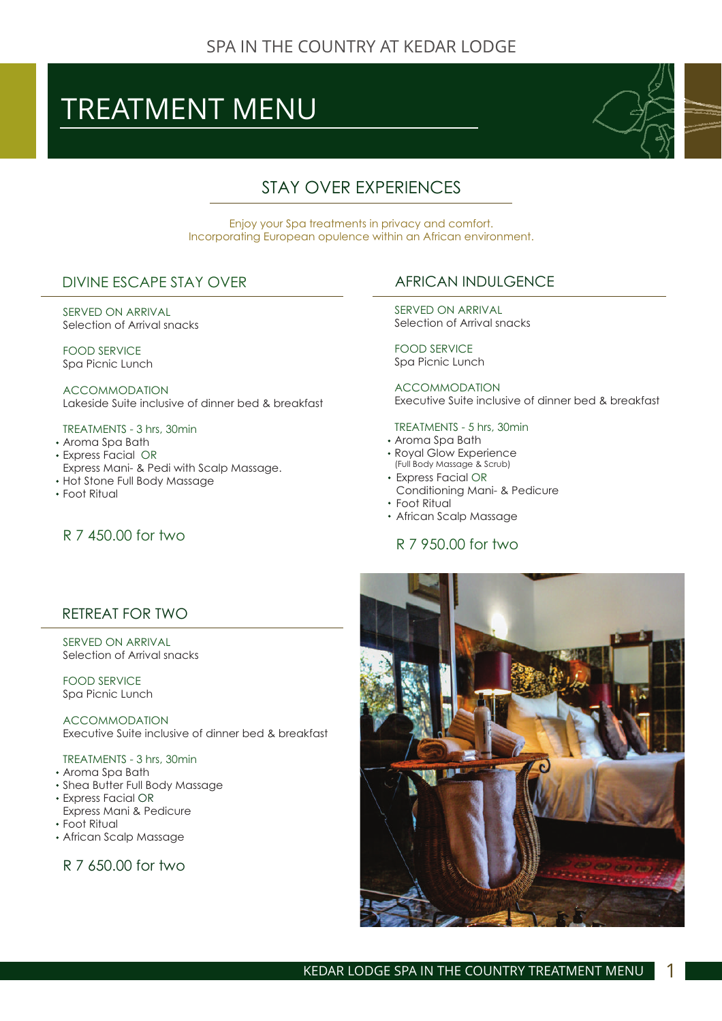# TREATMENT MENU



# STAY OVER EXPERIENCES

Enjoy your Spa treatments in privacy and comfort. Incorporating European opulence within an African environment.

#### DIVINE ESCAPE STAY OVER

SERVED ON ARRIVAL Selection of Arrival snacks

FOOD SERVICE Spa Picnic Lunch

ACCOMMODATION Lakeside Suite inclusive of dinner bed & breakfast

#### TREATMENTS - 3 hrs, 30min

- Aroma Spa Bath
- Express Facial OR
- Express Mani- & Pedi with Scalp Massage.
- Hot Stone Full Body Massage
- Foot Ritual

# R 7 450.00 for two

# AFRICAN INDULGENCE

SERVED ON ARRIVAL Selection of Arrival snacks

FOOD SERVICE Spa Picnic Lunch

ACCOMMODATION Executive Suite inclusive of dinner bed & breakfast

#### TREATMENTS - 5 hrs, 30min

- Aroma Spa Bath
- Royal Glow Experience (Full Body Massage & Scrub)
- Express Facial OR
- Conditioning Mani- & Pedicure
- Foot Ritual
- African Scalp Massage

# R 7 950.00 for two

# RETREAT FOR TWO

SERVED ON ARRIVAL Selection of Arrival snacks

FOOD SERVICE Spa Picnic Lunch

ACCOMMODATION Executive Suite inclusive of dinner bed & breakfast

#### TREATMENTS - 3 hrs, 30min

- Aroma Spa Bath
- Shea Butter Full Body Massage
- Express Facial OR
- Express Mani & Pedicure
- Foot Ritual
- African Scalp Massage

#### R 7 650.00 for two

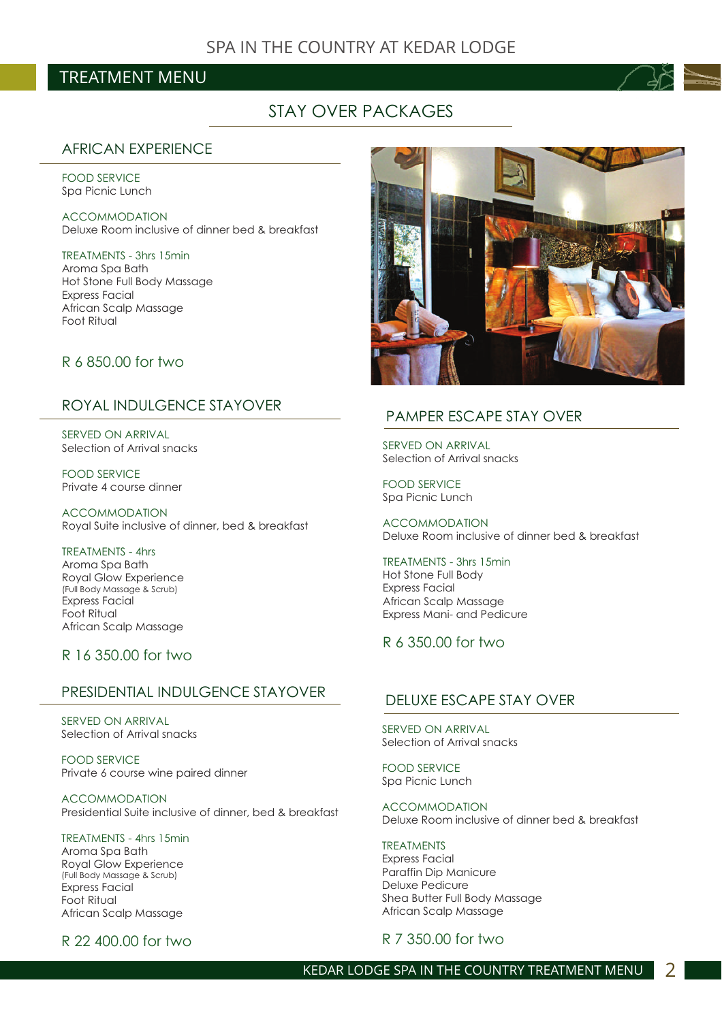# TREATMENT MENU



# STAY OVER PACKAGES

#### AFRICAN EXPERIENCE

Spa Picnic Lunch FOOD SERVICE

Deluxe Room inclusive of dinner bed & breakfast ACCOMMODATION

Aroma Spa Bath Hot Stone Full Body Massage Express Facial African Scalp Massage Foot Ritual TREATMENTS - 3hrs 15min

#### R 6 850.00 for two

#### ROYAL INDULGENCE STAYOVER

SERVED ON ARRIVAL Selection of Arrival snacks

FOOD SERVICE Private 4 course dinner

ACCOMMODATION Royal Suite inclusive of dinner, bed & breakfast

TREATMENTS - 4hrs Aroma Spa Bath Royal Glow Experience Express Facial Foot Ritual African Scalp Massage (Full Body Massage & Scrub)

#### R 16 350.00 for two

#### PRESIDENTIAL INDULGENCE STAYOVER

SERVED ON ARRIVAL Selection of Arrival snacks

FOOD SERVICE Private 6 course wine paired dinner

ACCOMMODATION Presidential Suite inclusive of dinner, bed & breakfast

TREATMENTS - 4hrs 15min Aroma Spa Bath Royal Glow Experience Express Facial Foot Ritual African Scalp Massage (Full Body Massage & Scrub)

R 22 400.00 for two



#### PAMPER ESCAPE STAY OVER

Selection of Arrival snacks SERVED ON ARRIVAL

Spa Picnic Lunch FOOD SERVICE

Deluxe Room inclusive of dinner bed & breakfast ACCOMMODATION

Hot Stone Full Body Express Facial African Scalp Massage Express Mani- and Pedicure TREATMENTS - 3hrs 15min

#### R 6 350.00 for two

#### DELUXE ESCAPE STAY OVER

Selection of Arrival snacks SERVED ON ARRIVAL

Spa Picnic Lunch FOOD SERVICE

Deluxe Room inclusive of dinner bed & breakfast ACCOMMODATION

Express Facial Paraffin Dip Manicure Deluxe Pedicure Shea Butter Full Body Massage African Scalp Massage TREATMENTS

R 7 350.00 for two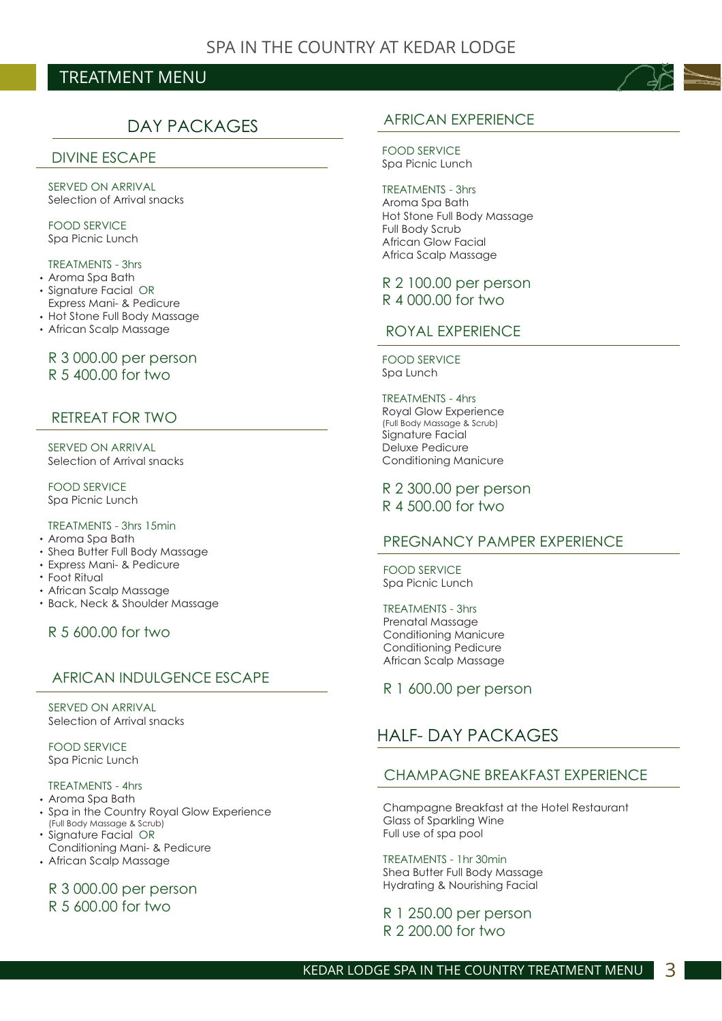# TREATMENT MENU

# DAY PACKAGES

#### DIVINE ESCAPE

Selection of Arrival snacks SERVED ON ARRIVAL

Spa Picnic Lunch FOOD SERVICE

#### TREATMENTS - 3hrs

- Aroma Spa Bath
- Signature Facial OR Express Mani- & Pedicure
- Hot Stone Full Body Massage
- African Scalp Massage

#### R 3 000.00 per person R 5 400.00 for two

#### RETREAT FOR TWO

Selection of Arrival snacks SERVED ON ARRIVAL

Spa Picnic Lunch FOOD SERVICE

#### TREATMENTS - 3hrs 15min

- Aroma Spa Bath
- Shea Butter Full Body Massage
- Express Mani- & Pedicure
- Foot Ritual
- African Scalp Massage
- Back, Neck & Shoulder Massage

#### R 5 600.00 for two

#### AFRICAN INDULGENCE ESCAPE

#### Selection of Arrival snacks SERVED ON ARRIVAL

Spa Picnic Lunch FOOD SERVICE

#### TREATMENTS - 4hrs

- Aroma Spa Bath
- Spa in the Country Royal Glow Experience (Full Body Massage & Scrub)
- Signature Facial OR Conditioning Mani- & Pedicure
- African Scalp Massage

# R 3 000.00 per person

#### R 5 600.00 for two



Spa Picnic Lunch FOOD SERVICE

Aroma Spa Bath Hot Stone Full Body Massage Full Body Scrub African Glow Facial Africa Scalp Massage TREATMENTS - 3hrs

#### R 2 100.00 per person R 4 000.00 for two

#### ROYAL EXPERIENCE

Spa Lunch FOOD SERVICE

Royal Glow Experience Sianature Facial Deluxe Pedicure Conditioning Manicure (Full Body Massage & Scrub) TREATMENTS - 4hrs

R 2 300.00 per person R 4 500.00 for two

#### PREGNANCY PAMPER EXPERIENCE

Spa Picnic Lunch FOOD SERVICE

#### TREATMENTS - 3hrs

Prenatal Massage Conditioning Manicure Conditioning Pedicure African Scalp Massage

R 1 600.00 per person

# HALF- DAY PACKAGES

#### CHAMPAGNE BREAKFAST EXPERIENCE

Champagne Breakfast at the Hotel Restaurant Glass of Sparkling Wine Full use of spa pool

Shea Butter Full Body Massage Hydrating & Nourishing Facial TREATMENTS - 1hr 30min

R 1 250.00 per person R 2 200.00 for two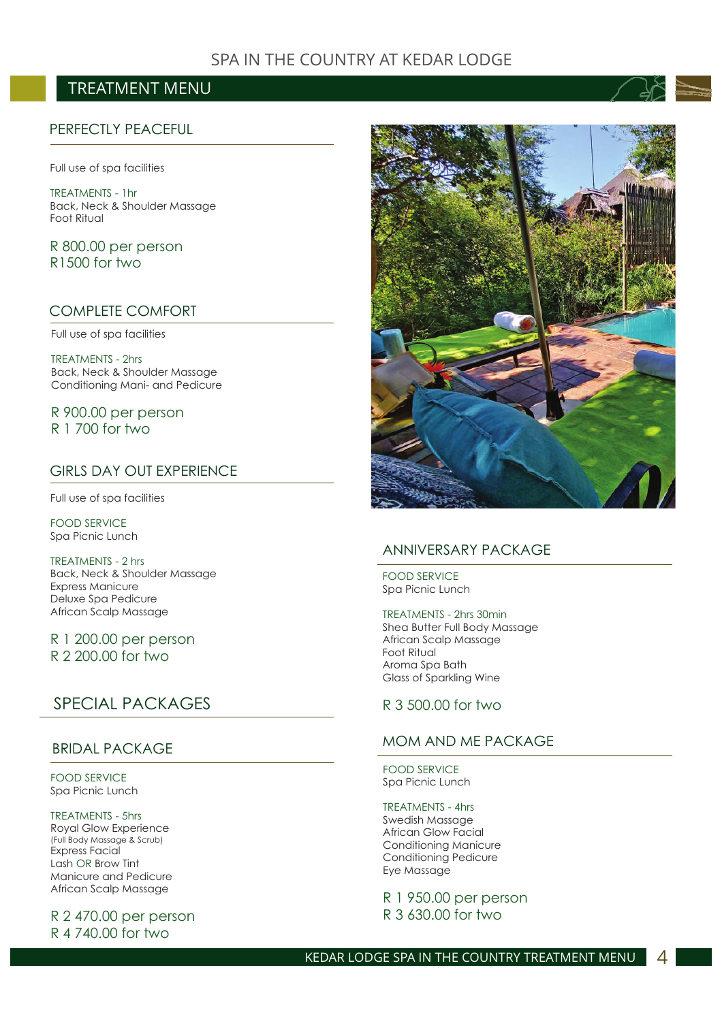# SPA IN THE COUNTRY AT KEDAR LODGE

# TREATMENT MENU

#### PERFECTLY PEACEFUL

Full use of spa facilities

Back, Neck & Shoulder Massage Foot Ritual TREATMENTS - 1hr

R 800.00 per person R1500 for two

#### COMPLETE COMFORT

Full use of spa facilities

Back, Neck & Shoulder Massage Conditioning Mani- and Pedicure TREATMENTS - 2hrs

R 900.00 per person R 1 700 for two

#### GIRLS DAY OUT EXPERIENCE

Full use of spa facilities

Spa Picnic Lunch FOOD SERVICE

Back, Neck & Shoulder Massage Express Manicure Deluxe Spa Pedicure African Scalp Massage TREATMENTS - 2 hrs

R 1 200.00 per person R 2 200.00 for two

# SPECIAL PACKAGES

#### BRIDAL PACKAGE

Spa Picnic Lunch FOOD SERVICE

Royal Glow Experience Express Facial Lash OR Brow Tint Manicure and Pedicure African Scalp Massage (Full Body Massage & Scrub) TREATMENTS - 5hrs

R 2 470.00 per person R 4 740.00 for two



#### ANNIVERSARY PACKAGE

Spa Picnic Lunch FOOD SERVICE

Shea Butter Full Body Massage African Scalp Massage Foot Ritual Aroma Spa Bath Glass of Sparkling Wine TREATMENTS - 2hrs 30min

#### R 3 500.00 for two

#### MOM AND ME PACKAGE

FOOD SERVICE Spa Picnic Lunch

TREATMENTS - 4hrs Swedish Massage African Glow Facial Conditioning Manicure Conditioning Pedicure Eye Massage

R 1 950.00 per person R 3 630.00 for two